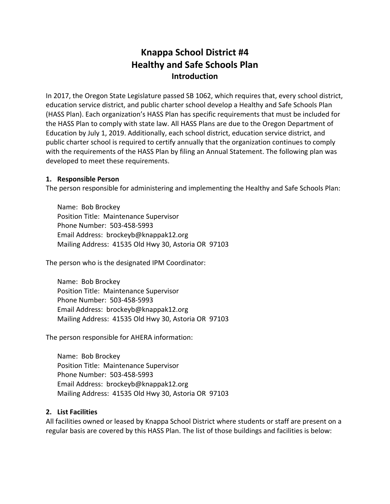# **Knappa School District #4 Healthy and Safe Schools Plan Introduction**

In 2017, the Oregon State Legislature passed SB 1062, which requires that, every school district, education service district, and public charter school develop a Healthy and Safe Schools Plan (HASS Plan). Each organization's HASS Plan has specific requirements that must be included for the HASS Plan to comply with state law. All HASS Plans are due to the Oregon Department of Education by July 1, 2019. Additionally, each school district, education service district, and public charter school is required to certify annually that the organization continues to comply with the requirements of the HASS Plan by filing an Annual Statement. The following plan was developed to meet these requirements.

#### **1. Responsible Person**

The person responsible for administering and implementing the Healthy and Safe Schools Plan:

Name: Bob Brockey Position Title: Maintenance Supervisor Phone Number: 503-458-5993 Email Address: brockeyb@knappak12.org Mailing Address: 41535 Old Hwy 30, Astoria OR 97103

The person who is the designated IPM Coordinator:

Name: Bob Brockey Position Title: Maintenance Supervisor Phone Number: 503-458-5993 Email Address: brockeyb@knappak12.org Mailing Address: 41535 Old Hwy 30, Astoria OR 97103

The person responsible for AHERA information:

Name: Bob Brockey Position Title: Maintenance Supervisor Phone Number: 503-458-5993 Email Address: brockeyb@knappak12.org Mailing Address: 41535 Old Hwy 30, Astoria OR 97103

#### **2. List Facilities**

All facilities owned or leased by Knappa School District where students or staff are present on a regular basis are covered by this HASS Plan. The list of those buildings and facilities is below: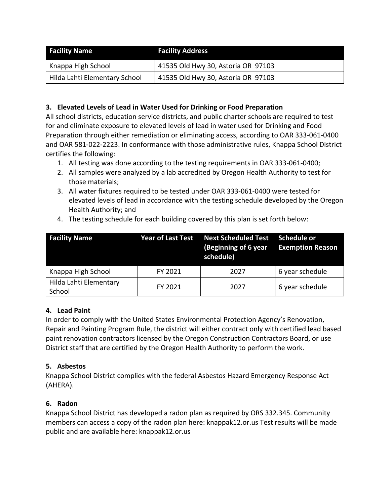| <b>Facility Name</b>          | <b>Facility Address</b>            |
|-------------------------------|------------------------------------|
| Knappa High School            | 41535 Old Hwy 30, Astoria OR 97103 |
| Hilda Lahti Elementary School | 41535 Old Hwy 30, Astoria OR 97103 |

# **3. Elevated Levels of Lead in Water Used for Drinking or Food Preparation**

All school districts, education service districts, and public charter schools are required to test for and eliminate exposure to elevated levels of lead in water used for Drinking and Food Preparation through either remediation or eliminating access, according to OAR 333-061-0400 and OAR 581-022-2223. In conformance with those administrative rules, Knappa School District certifies the following:

- 1. All testing was done according to the testing requirements in OAR 333-061-0400;
- 2. All samples were analyzed by a lab accredited by Oregon Health Authority to test for those materials;
- 3. All water fixtures required to be tested under OAR 333-061-0400 were tested for elevated levels of lead in accordance with the testing schedule developed by the Oregon Health Authority; and
- 4. The testing schedule for each building covered by this plan is set forth below:

| <b>Facility Name</b>             |         | Year of Last Test Next Scheduled Test Schedule or<br>(Beginning of 6 year Exemption Reason<br>schedule) |                 |
|----------------------------------|---------|---------------------------------------------------------------------------------------------------------|-----------------|
| Knappa High School               | FY 2021 | 2027                                                                                                    | 6 year schedule |
| Hilda Lahti Elementary<br>School | FY 2021 | 2027                                                                                                    | 6 year schedule |

## **4. Lead Paint**

In order to comply with the United States Environmental Protection Agency's Renovation, Repair and Painting Program Rule, the district will either contract only with certified lead based paint renovation contractors licensed by the Oregon Construction Contractors Board, or use District staff that are certified by the Oregon Health Authority to perform the work.

## **5. Asbestos**

Knappa School District complies with the federal Asbestos Hazard Emergency Response Act (AHERA).

## **6. Radon**

Knappa School District has developed a radon plan as required by ORS 332.345. Community members can access a copy of the radon plan here: knappak12.or.us Test results will be made public and are available here: knappak12.or.us